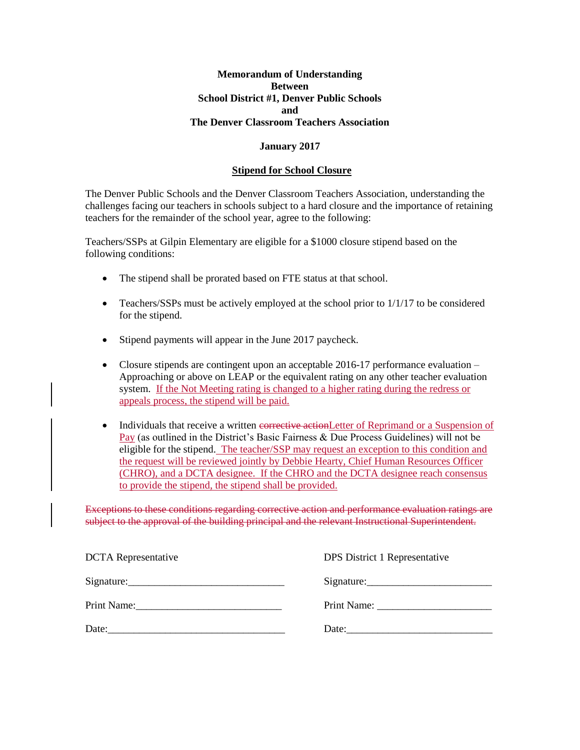### **Memorandum of Understanding Between School District #1, Denver Public Schools and The Denver Classroom Teachers Association**

# **January 2017**

#### **Stipend for School Closure**

The Denver Public Schools and the Denver Classroom Teachers Association, understanding the challenges facing our teachers in schools subject to a hard closure and the importance of retaining teachers for the remainder of the school year, agree to the following:

Teachers/SSPs at Gilpin Elementary are eligible for a \$1000 closure stipend based on the following conditions:

- The stipend shall be prorated based on FTE status at that school.
- Teachers/SSPs must be actively employed at the school prior to 1/1/17 to be considered for the stipend.
- Stipend payments will appear in the June 2017 paycheck.
- Closure stipends are contingent upon an acceptable 2016-17 performance evaluation Approaching or above on LEAP or the equivalent rating on any other teacher evaluation system. If the Not Meeting rating is changed to a higher rating during the redress or appeals process, the stipend will be paid.

• Individuals that receive a written corrective actionLetter of Reprimand or a Suspension of Pay (as outlined in the District's Basic Fairness & Due Process Guidelines) will not be eligible for the stipend. The teacher/SSP may request an exception to this condition and the request will be reviewed jointly by Debbie Hearty, Chief Human Resources Officer (CHRO), and a DCTA designee. If the CHRO and the DCTA designee reach consensus to provide the stipend, the stipend shall be provided.

Exceptions to these conditions regarding corrective action and performance evaluation ratings are subject to the approval of the building principal and the relevant Instructional Superintendent.

| <b>DCTA</b> Representative | DPS District 1 Representative |
|----------------------------|-------------------------------|
|                            | Signature:                    |
|                            |                               |
| Date:                      | Date:                         |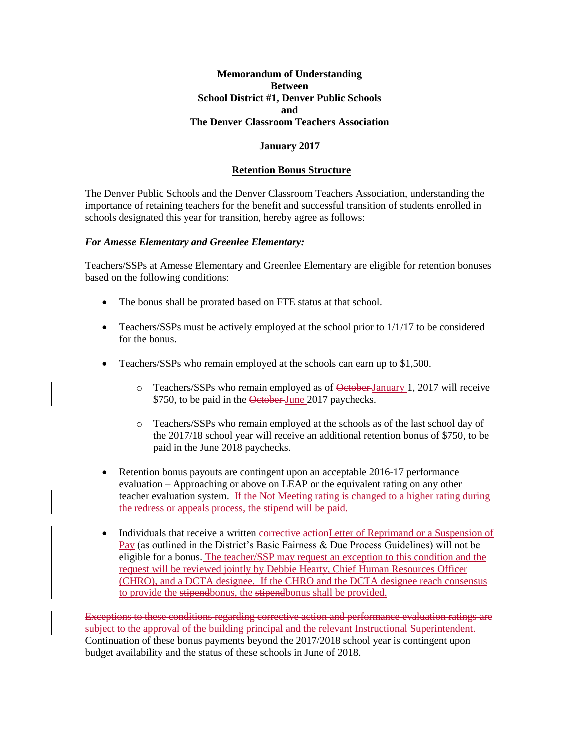# **Memorandum of Understanding Between School District #1, Denver Public Schools and The Denver Classroom Teachers Association**

# **January 2017**

#### **Retention Bonus Structure**

The Denver Public Schools and the Denver Classroom Teachers Association, understanding the importance of retaining teachers for the benefit and successful transition of students enrolled in schools designated this year for transition, hereby agree as follows:

#### *For Amesse Elementary and Greenlee Elementary:*

Teachers/SSPs at Amesse Elementary and Greenlee Elementary are eligible for retention bonuses based on the following conditions:

- The bonus shall be prorated based on FTE status at that school.
- Teachers/SSPs must be actively employed at the school prior to 1/1/17 to be considered for the bonus.
- Teachers/SSPs who remain employed at the schools can earn up to \$1,500.
	- o Teachers/SSPs who remain employed as of October January 1, 2017 will receive \$750, to be paid in the October-June 2017 paychecks.
	- o Teachers/SSPs who remain employed at the schools as of the last school day of the 2017/18 school year will receive an additional retention bonus of \$750, to be paid in the June 2018 paychecks.
- Retention bonus payouts are contingent upon an acceptable 2016-17 performance evaluation – Approaching or above on LEAP or the equivalent rating on any other teacher evaluation system. If the Not Meeting rating is changed to a higher rating during the redress or appeals process, the stipend will be paid.
- Individuals that receive a written corrective actionLetter of Reprimand or a Suspension of Pay (as outlined in the District's Basic Fairness & Due Process Guidelines) will not be eligible for a bonus. The teacher/SSP may request an exception to this condition and the request will be reviewed jointly by Debbie Hearty, Chief Human Resources Officer (CHRO), and a DCTA designee. If the CHRO and the DCTA designee reach consensus to provide the stipendbonus, the stipendbonus shall be provided.

Exceptions to these conditions regarding corrective action and performance evaluation ratings are subject to the approval of the building principal and the relevant Instructional Superintendent. Continuation of these bonus payments beyond the 2017/2018 school year is contingent upon budget availability and the status of these schools in June of 2018.